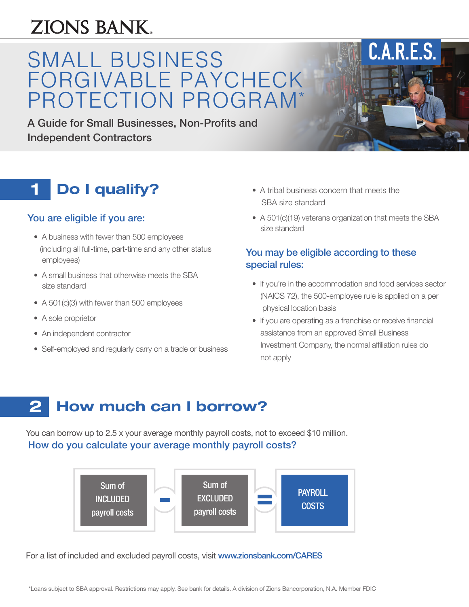# ZIONS BANK.

# SMALL BUSINESS FORGIVABLE PAYCHECK PROTECTION PROGRAM\*

A Guide for Small Businesses, Non-Profits and Independent Contractors

## **1 Do I qualify?** • A tribal business concern that meets the

## You are eligible if you are:

- A business with fewer than 500 employees (including all full-time, part-time and any other status employees)
- A small business that otherwise meets the SBA size standard
- A 501(c)(3) with fewer than 500 employees
- A sole proprietor
- An independent contractor
- Self-employed and regularly carry on a trade or business
- SBA size standard
- A 501(c)(19) veterans organization that meets the SBA size standard

**C.A.R.E.S.** 

## You may be eligible according to these special rules:

- If you're in the accommodation and food services sector (NAICS 72), the 500-employee rule is applied on a per physical location basis
- If you are operating as a franchise or receive financial assistance from an approved Small Business Investment Company, the normal affiliation rules do not apply

#### **How much can I borrow? 2**

You can borrow up to 2.5 x your average monthly payroll costs, not to exceed \$10 million. How do you calculate your average monthly payroll costs?



For a list of included and excluded payroll costs, visit [www.zionsbank.com/CARES](http://www.zionsbank.com/CARES)